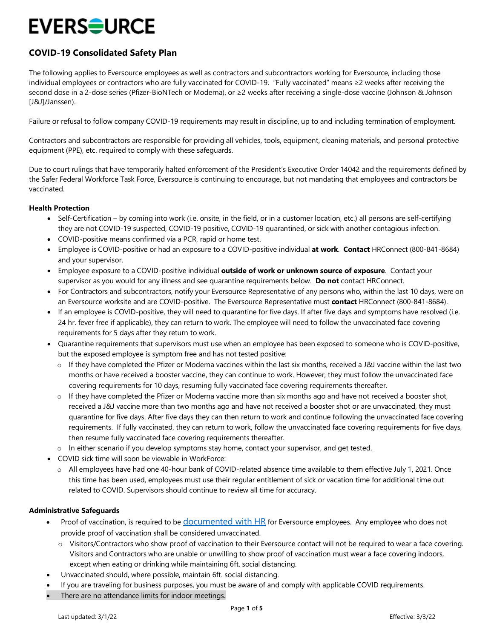## **EVERS<del>O</del>URCE**

### **COVID-19 Consolidated Safety Plan**

The following applies to Eversource employees as well as contractors and subcontractors working for Eversource, including those individual employees or contractors who are fully vaccinated for COVID-19. "Fully vaccinated" means ≥2 weeks after receiving the second dose in a 2-dose series (Pfizer-BioNTech or Moderna), or ≥2 weeks after receiving a single-dose vaccine (Johnson & Johnson [J&J]/Janssen).

Failure or refusal to follow company COVID-19 requirements may result in discipline, up to and including termination of employment.

Contractors and subcontractors are responsible for providing all vehicles, tools, equipment, cleaning materials, and personal protective equipment (PPE), etc. required to comply with these safeguards.

Due to court rulings that have temporarily halted enforcement of the President's Executive Order 14042 and the requirements defined by the Safer Federal Workforce Task Force, Eversource is continuing to encourage, but not mandating that employees and contractors be vaccinated.

#### **Health Protection**

- Self-Certification by coming into work (i.e. onsite, in the field, or in a customer location, etc.) all persons are self-certifying they are not COVID-19 suspected, COVID-19 positive, COVID-19 quarantined, or sick with another contagious infection.
- COVID-positive means confirmed via a PCR, rapid or home test.
- Employee is COVID-positive or had an exposure to a COVID-positive individual **at work**. **Contact** HRConnect (800-841-8684) and your supervisor.
- Employee exposure to a COVID-positive individual **outside of work or unknown source of exposure**. Contact your supervisor as you would for any illness and see quarantine requirements below. **Do not** contact HRConnect.
- For Contractors and subcontractors, notify your Eversource Representative of any persons who, within the last 10 days, were on an Eversource worksite and are COVID-positive. The Eversource Representative must **contact** HRConnect (800-841-8684).
- If an employee is COVID-positive, they will need to quarantine for five days. If after five days and symptoms have resolved (i.e. 24 hr. fever free if applicable), they can return to work. The employee will need to follow the unvaccinated face covering requirements for 5 days after they return to work.
- Quarantine requirements that supervisors must use when an employee has been exposed to someone who is COVID-positive, but the exposed employee is symptom free and has not tested positive:
	- o If they have completed the Pfizer or Moderna vaccines within the last six months, received a J&J vaccine within the last two months or have received a booster vaccine, they can continue to work. However, they must follow the unvaccinated face covering requirements for 10 days, resuming fully vaccinated face covering requirements thereafter.
	- $\circ$  If they have completed the Pfizer or Moderna vaccine more than six months ago and have not received a booster shot, received a J&J vaccine more than two months ago and have not received a booster shot or are unvaccinated, they must quarantine for five days. After five days they can then return to work and continue following the unvaccinated face covering requirements. If fully vaccinated, they can return to work, follow the unvaccinated face covering requirements for five days, then resume fully vaccinated face covering requirements thereafter.
	- o In either scenario if you develop symptoms stay home, contact your supervisor, and get tested.
- COVID sick time will soon be viewable in WorkForce:
	- o All employees have had one 40-hour bank of COVID-related absence time available to them effective July 1, 2021. Once this time has been used, employees must use their regular entitlement of sick or vacation time for additional time out related to COVID. Supervisors should continue to review all time for accuracy.

#### **Administrative Safeguards**

- Proof of vaccination, is required to be *documented with HR* for Eversource employees. Any employee who does not provide proof of vaccination shall be considered unvaccinated.
	- o Visitors/Contractors who show proof of vaccination to their Eversource contact will not be required to wear a face covering. Visitors and Contractors who are unable or unwilling to show proof of vaccination must wear a face covering indoors, except when eating or drinking while maintaining 6ft. social distancing.
- Unvaccinated should, where possible, maintain 6ft. social distancing.
- If you are traveling for business purposes, you must be aware of and comply with applicable COVID requirements.
- There are no attendance limits for indoor meetings.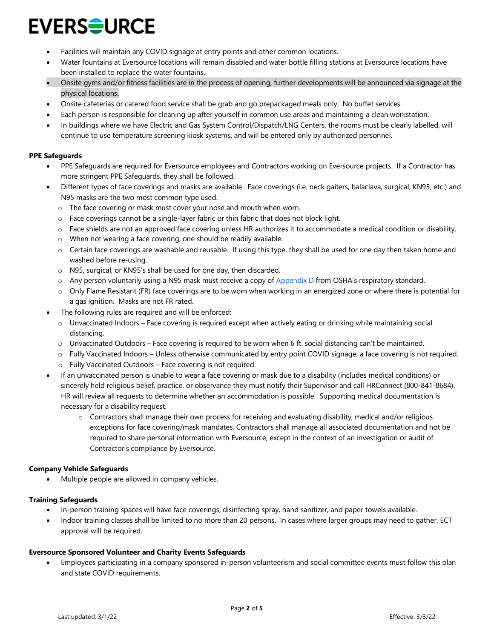# **EVERS<del>≘</del>URCE**

- Facilities will maintain any COVID signage at entry points and other common locations.
- Water fountains at Eversource locations will remain disabled and water bottle filling stations at Eversource locations have been installed to replace the water fountains.
- Onsite gyms and/or fitness facilities are in the process of opening, further developments will be announced via signage at the physical locations.
- Onsite cafeterias or catered food service shall be grab and go prepackaged meals only. No buffet services.
- Each person is responsible for cleaning up after yourself in common use areas and maintaining a clean workstation.
- In buildings where we have Electric and Gas System Control/Dispatch/LNG Centers, the rooms must be clearly labelled, will continue to use temperature screening kiosk systems, and will be entered only by authorized personnel.

#### **PPE Safeguards**

- PPE Safeguards are required for Eversource employees and Contractors working on Eversource projects. If a Contractor has more stringent PPE Safeguards, they shall be followed.
- Different types of face coverings and masks are available. Face coverings (i.e. neck gaiters, balaclava, surgical, KN95, etc.) and N95 masks are the two most common type used.
	- o The face covering or mask must cover your nose and mouth when worn.
	- $\circ$  Face coverings cannot be a single-layer fabric or thin fabric that does not block light.
	- o Face shields are not an approved face covering unless HR authorizes it to accommodate a medical condition or disability.
	- o When not wearing a face covering, one should be readily available.
	- $\circ$  Certain face coverings are washable and reusable. If using this type, they shall be used for one day then taken home and washed before re-using.
	- o N95, surgical, or KN95's shall be used for one day, then discarded.
	- $\circ$  Any person voluntarily using a N95 mask must receive a copy of [Appendix D](https://eversourceenergy.sharepoint.com/sites/Safety/SitePages/COVID-19-Safety-Documents.aspx) from OSHA's respiratory standard.
	- o Only Flame Resistant (FR) face coverings are to be worn when working in an energized zone or where there is potential for a gas ignition. Masks are not FR rated.
- The following rules are required and will be enforced:
	- o Unvaccinated Indoors Face covering is required except when actively eating or drinking while maintaining social distancing.
	- $\circ$  Unvaccinated Outdoors Face covering is required to be worn when 6 ft. social distancing can't be maintained.
	- o Fully Vaccinated Indoors Unless otherwise communicated by entry point COVID signage, a face covering is not required.
	- o Fully Vaccinated Outdoors Face covering is not required.
- If an unvaccinated person is unable to wear a face covering or mask due to a disability (includes medical conditions) or sincerely held religious belief, practice, or observance they must notify their Supervisor and call HRConnect (800-841-8684). HR will review all requests to determine whether an accommodation is possible. Supporting medical documentation is necessary for a disability request.
	- o Contractors shall manage their own process for receiving and evaluating disability, medical and/or religious exceptions for face covering/mask mandates. Contractors shall manage all associated documentation and not be required to share personal information with Eversource, except in the context of an investigation or audit of Contractor's compliance by Eversource.

#### **Company Vehicle Safeguards**

Multiple people are allowed in company vehicles.

#### **Training Safeguards**

- In-person training spaces will have face coverings, disinfecting spray, hand sanitizer, and paper towels available.
- Indoor training classes shall be limited to no more than 20 persons. In cases where larger groups may need to gather, ECT approval will be required.

#### **Eversource Sponsored Volunteer and Charity Events Safeguards**

• Employees participating in a company sponsored in-person volunteerism and social committee events must follow this plan and state COVID requirements.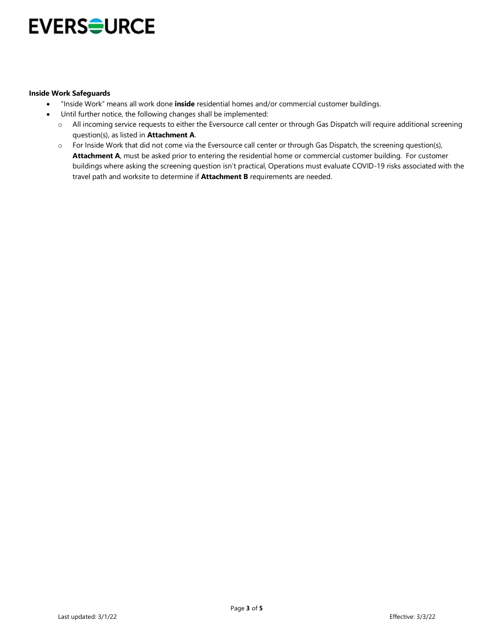### **EVERSOURCE**

#### **Inside Work Safeguards**

- "Inside Work" means all work done **inside** residential homes and/or commercial customer buildings.
- Until further notice, the following changes shall be implemented:
	- o All incoming service requests to either the Eversource call center or through Gas Dispatch will require additional screening question(s), as listed in **Attachment A**.
	- o For Inside Work that did not come via the Eversource call center or through Gas Dispatch, the screening question(s), **Attachment A**, must be asked prior to entering the residential home or commercial customer building. For customer buildings where asking the screening question isn't practical, Operations must evaluate COVID-19 risks associated with the travel path and worksite to determine if **Attachment B** requirements are needed.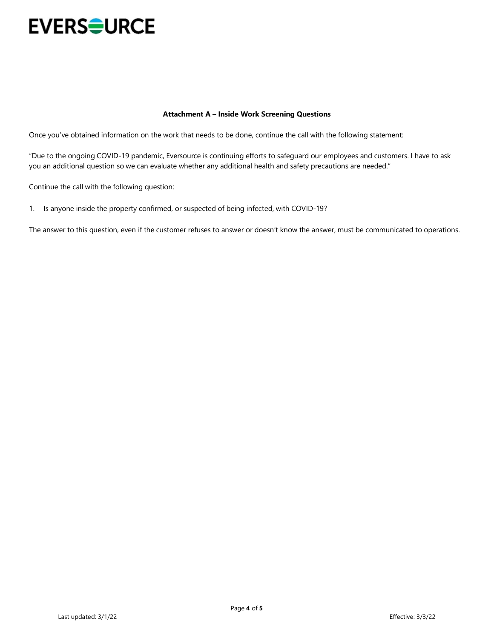

#### **Attachment A – Inside Work Screening Questions**

Once you've obtained information on the work that needs to be done, continue the call with the following statement:

"Due to the ongoing COVID-19 pandemic, Eversource is continuing efforts to safeguard our employees and customers. I have to ask you an additional question so we can evaluate whether any additional health and safety precautions are needed."

Continue the call with the following question:

1. Is anyone inside the property confirmed, or suspected of being infected, with COVID-19?

The answer to this question, even if the customer refuses to answer or doesn't know the answer, must be communicated to operations.